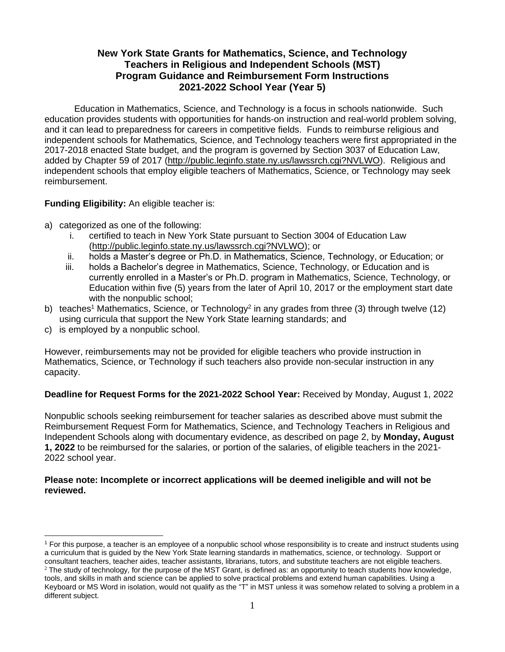# **New York State Grants for Mathematics, Science, and Technology Teachers in Religious and Independent Schools (MST) Program Guidance and Reimbursement Form Instructions 2021-2022 School Year (Year 5)**

Education in Mathematics, Science, and Technology is a focus in schools nationwide. Such education provides students with opportunities for hands-on instruction and real-world problem solving, and it can lead to preparedness for careers in competitive fields. Funds to reimburse religious and independent schools for Mathematics, Science, and Technology teachers were first appropriated in the 2017-2018 enacted State budget, and the program is governed by Section 3037 of Education Law, added by Chapter 59 of 2017 [\(http://public.leginfo.state.ny.us/lawssrch.cgi?NVLWO\)](http://public.leginfo.state.ny.us/lawssrch.cgi?NVLWO). Religious and independent schools that employ eligible teachers of Mathematics, Science, or Technology may seek reimbursement.

**Funding Eligibility:** An eligible teacher is:

- a) categorized as one of the following:
	- i. certified to teach in New York State pursuant to Section 3004 of Education Law [\(http://public.leginfo.state.ny.us/lawssrch.cgi?NVLWO\)](http://public.leginfo.state.ny.us/lawssrch.cgi?NVLWO); or
	- ii. holds a Master's degree or Ph.D. in Mathematics, Science, Technology, or Education; or
	- iii. holds a Bachelor's degree in Mathematics, Science, Technology, or Education and is currently enrolled in a Master's or Ph.D. program in Mathematics, Science, Technology, or Education within five (5) years from the later of April 10, 2017 or the employment start date with the nonpublic school;
- b) teaches<sup>1</sup> Mathematics, Science, or Technology<sup>2</sup> in any grades from three (3) through twelve (12) using curricula that support the New York State learning standards; and
- c) is employed by a nonpublic school.

However, reimbursements may not be provided for eligible teachers who provide instruction in Mathematics, Science, or Technology if such teachers also provide non-secular instruction in any capacity.

# **Deadline for Request Forms for the 2021-2022 School Year:** Received by Monday, August 1, 2022

Nonpublic schools seeking reimbursement for teacher salaries as described above must submit the Reimbursement Request Form for Mathematics, Science, and Technology Teachers in Religious and Independent Schools along with documentary evidence, as described on page 2, by **Monday, August 1, 2022** to be reimbursed for the salaries, or portion of the salaries, of eligible teachers in the 2021- 2022 school year.

## **Please note: Incomplete or incorrect applications will be deemed ineligible and will not be reviewed.**

<sup>1</sup> For this purpose, a teacher is an employee of a nonpublic school whose responsibility is to create and instruct students using a curriculum that is guided by the New York State learning standards in mathematics, science, or technology. Support or consultant teachers, teacher aides, teacher assistants, librarians, tutors, and substitute teachers are not eligible teachers.

 $2$  The study of technology, for the purpose of the MST Grant, is defined as: an opportunity to teach students how knowledge, tools, and skills in math and science can be applied to solve practical problems and extend human capabilities. Using a Keyboard or MS Word in isolation, would not qualify as the "T" in MST unless it was somehow related to solving a problem in a different subject.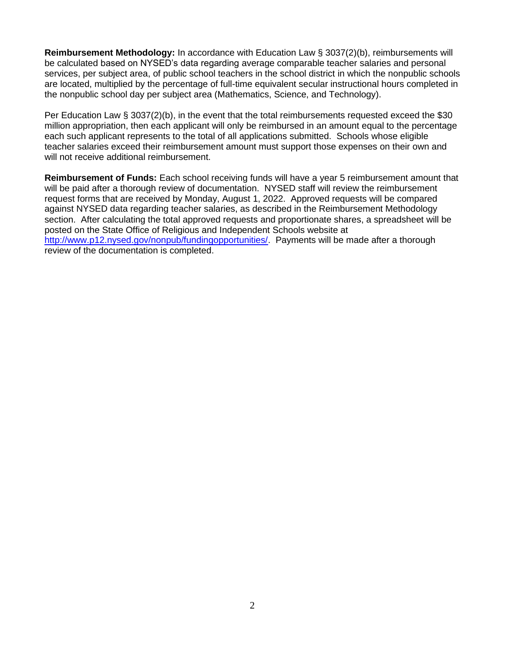**Reimbursement Methodology:** In accordance with Education Law § 3037(2)(b), reimbursements will be calculated based on NYSED's data regarding average comparable teacher salaries and personal services, per subject area, of public school teachers in the school district in which the nonpublic schools are located, multiplied by the percentage of full-time equivalent secular instructional hours completed in the nonpublic school day per subject area (Mathematics, Science, and Technology).

Per Education Law § 3037(2)(b), in the event that the total reimbursements requested exceed the \$30 million appropriation, then each applicant will only be reimbursed in an amount equal to the percentage each such applicant represents to the total of all applications submitted. Schools whose eligible teacher salaries exceed their reimbursement amount must support those expenses on their own and will not receive additional reimbursement.

**Reimbursement of Funds:** Each school receiving funds will have a year 5 reimbursement amount that will be paid after a thorough review of documentation. NYSED staff will review the reimbursement request forms that are received by Monday, August 1, 2022. Approved requests will be compared against NYSED data regarding teacher salaries, as described in the Reimbursement Methodology section. After calculating the total approved requests and proportionate shares, a spreadsheet will be posted on the State Office of Religious and Independent Schools website at [http://www.p12.nysed.gov/nonpub/fundingopportunities/.](http://www.p12.nysed.gov/nonpub/fundingopportunities/) Payments will be made after a thorough review of the documentation is completed.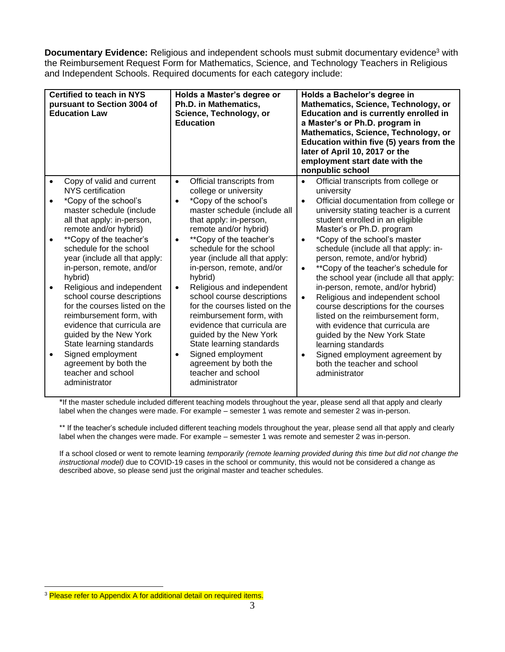**Documentary Evidence:** Religious and independent schools must submit documentary evidence<sup>3</sup> with the Reimbursement Request Form for Mathematics, Science, and Technology Teachers in Religious and Independent Schools. Required documents for each category include:

| <b>Certified to teach in NYS</b><br>pursuant to Section 3004 of<br><b>Education Law</b> |                                                                                                                                                                                                                                                                                                | Holds a Master's degree or<br>Ph.D. in Mathematics,<br>Science, Technology, or<br><b>Education</b>                                                                                                                                                                                                                       |                        | Holds a Bachelor's degree in<br>Mathematics, Science, Technology, or<br><b>Education and is currently enrolled in</b><br>a Master's or Ph.D. program in<br>Mathematics, Science, Technology, or<br>Education within five (5) years from the<br>later of April 10, 2017 or the<br>employment start date with the<br>nonpublic school |  |  |
|-----------------------------------------------------------------------------------------|------------------------------------------------------------------------------------------------------------------------------------------------------------------------------------------------------------------------------------------------------------------------------------------------|--------------------------------------------------------------------------------------------------------------------------------------------------------------------------------------------------------------------------------------------------------------------------------------------------------------------------|------------------------|-------------------------------------------------------------------------------------------------------------------------------------------------------------------------------------------------------------------------------------------------------------------------------------------------------------------------------------|--|--|
|                                                                                         | Copy of valid and current<br>NYS certification                                                                                                                                                                                                                                                 | Official transcripts from<br>$\bullet$<br>college or university                                                                                                                                                                                                                                                          | $\bullet$              | Official transcripts from college or<br>university                                                                                                                                                                                                                                                                                  |  |  |
| $\bullet$                                                                               | *Copy of the school's<br>master schedule (include<br>all that apply: in-person,<br>remote and/or hybrid)                                                                                                                                                                                       | *Copy of the school's<br>$\bullet$<br>master schedule (include all<br>that apply: in-person,<br>remote and/or hybrid)                                                                                                                                                                                                    | $\bullet$              | Official documentation from college or<br>university stating teacher is a current<br>student enrolled in an eligible<br>Master's or Ph.D. program                                                                                                                                                                                   |  |  |
|                                                                                         | **Copy of the teacher's<br>schedule for the school<br>year (include all that apply:<br>in-person, remote, and/or<br>hybrid)                                                                                                                                                                    | **Copy of the teacher's<br>$\bullet$<br>schedule for the school<br>year (include all that apply:<br>in-person, remote, and/or<br>hybrid)                                                                                                                                                                                 | $\bullet$<br>$\bullet$ | *Copy of the school's master<br>schedule (include all that apply: in-<br>person, remote, and/or hybrid)<br>** Copy of the teacher's schedule for<br>the school year (include all that apply:                                                                                                                                        |  |  |
| $\bullet$                                                                               | Religious and independent<br>school course descriptions<br>for the courses listed on the<br>reimbursement form, with<br>evidence that curricula are<br>guided by the New York<br>State learning standards<br>Signed employment<br>agreement by both the<br>teacher and school<br>administrator | Religious and independent<br>$\bullet$<br>school course descriptions<br>for the courses listed on the<br>reimbursement form, with<br>evidence that curricula are<br>guided by the New York<br>State learning standards<br>Signed employment<br>$\bullet$<br>agreement by both the<br>teacher and school<br>administrator | $\bullet$<br>$\bullet$ | in-person, remote, and/or hybrid)<br>Religious and independent school<br>course descriptions for the courses<br>listed on the reimbursement form,<br>with evidence that curricula are<br>guided by the New York State<br>learning standards<br>Signed employment agreement by<br>both the teacher and school<br>administrator       |  |  |

\*If the master schedule included different teaching models throughout the year, please send all that apply and clearly label when the changes were made. For example – semester 1 was remote and semester 2 was in-person.

\*\* If the teacher's schedule included different teaching models throughout the year, please send all that apply and clearly label when the changes were made. For example – semester 1 was remote and semester 2 was in-person.

If a school closed or went to remote learning *temporarily (remote learning provided during this time but did not change the instructional model)* due to COVID-19 cases in the school or community, this would not be considered a change as described above, so please send just the original master and teacher schedules.

<sup>&</sup>lt;sup>3</sup> Please refer to Appendix A for additional detail on required items.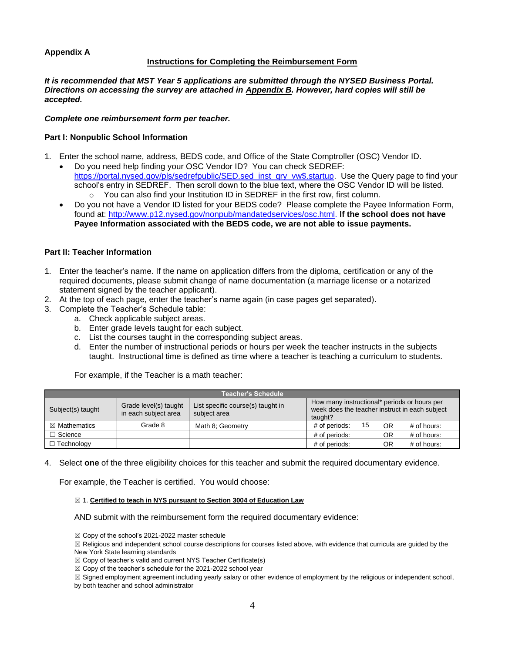## **Appendix A**

## **Instructions for Completing the Reimbursement Form**

*It is recommended that MST Year 5 applications are submitted through the NYSED Business Portal. Directions on accessing the survey are attached in Appendix B. However, hard copies will still be accepted.*

## *Complete one reimbursement form per teacher.*

## **Part I: Nonpublic School Information**

- 1. Enter the school name, address, BEDS code, and Office of the State Comptroller (OSC) Vendor ID.
	- Do you need help finding your OSC Vendor ID? You can check SEDREF: https://portal.nysed.gov/pls/sedrefpublic/SED.sed\_inst\_gry\_vw\$.startup. Use the Query page to find your school's entry in SEDREF. Then scroll down to the blue text, where the OSC Vendor ID will be listed. o You can also find your Institution ID in SEDREF in the first row, first column.
	- Do you not have a Vendor ID listed for your BEDS code? Please complete the Payee Information Form, found at: [http://www.p12.nysed.gov/nonpub/mandatedservices/osc.html.](http://www.p12.nysed.gov/nonpub/mandatedservices/osc.html) **If the school does not have Payee Information associated with the BEDS code, we are not able to issue payments.**

## **Part II: Teacher Information**

- 1. Enter the teacher's name. If the name on application differs from the diploma, certification or any of the required documents, please submit change of name documentation (a marriage license or a notarized statement signed by the teacher applicant).
- 2. At the top of each page, enter the teacher's name again (in case pages get separated).
- 3. Complete the Teacher's Schedule table:
	- a. Check applicable subject areas.
	- b. Enter grade levels taught for each subject.
	- c. List the courses taught in the corresponding subject areas.
	- d. Enter the number of instructional periods or hours per week the teacher instructs in the subjects taught. Instructional time is defined as time where a teacher is teaching a curriculum to students.

For example, if the Teacher is a math teacher:

|                         |                                               | <b>Teacher's Schedule</b>                         |                                                                                                           |    |           |               |
|-------------------------|-----------------------------------------------|---------------------------------------------------|-----------------------------------------------------------------------------------------------------------|----|-----------|---------------|
| Subject(s) taught       | Grade level(s) taught<br>in each subject area | List specific course(s) taught in<br>subject area | How many instructional* periods or hours per<br>week does the teacher instruct in each subject<br>taught? |    |           |               |
| $\boxtimes$ Mathematics | Grade 8                                       | Math 8; Geometry                                  | # of periods:                                                                                             | 15 | <b>OR</b> | $#$ of hours: |
| $\Box$ Science          |                                               |                                                   | # of periods:                                                                                             |    | OR        | $#$ of hours: |
| $\Box$ Technology       |                                               |                                                   | # of periods:                                                                                             |    | ΟR        | $#$ of hours: |

4. Select **one** of the three eligibility choices for this teacher and submit the required documentary evidence.

For example, the Teacher is certified. You would choose:

#### ☒ 1. **Certified to teach in NYS pursuant to Section 3004 of Education Law**

AND submit with the reimbursement form the required documentary evidence:

☒ Copy of the school's 2021-2022 master schedule

☒ Religious and independent school course descriptions for courses listed above, with evidence that curricula are guided by the New York State learning standards

 $\boxtimes$  Copy of teacher's valid and current NYS Teacher Certificate(s)

 $\boxtimes$  Copy of the teacher's schedule for the 2021-2022 school year

☒ Signed employment agreement including yearly salary or other evidence of employment by the religious or independent school, by both teacher and school administrator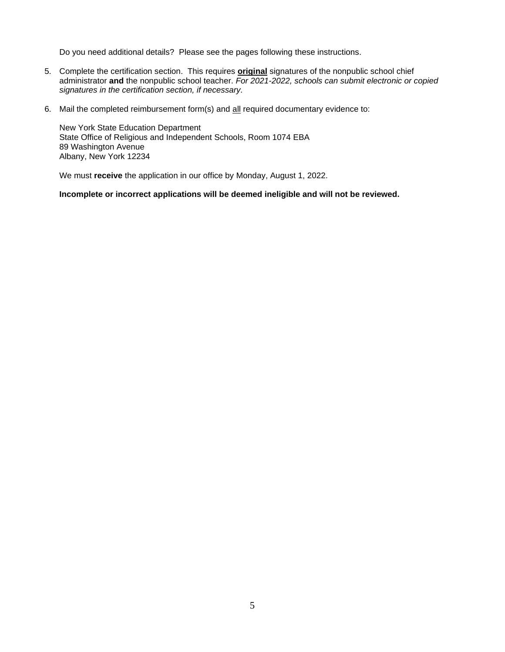Do you need additional details? Please see the pages following these instructions.

- 5. Complete the certification section. This requires **original** signatures of the nonpublic school chief administrator **and** the nonpublic school teacher. *For 2021-2022, schools can submit electronic or copied signatures in the certification section, if necessary.*
- 6. Mail the completed reimbursement form(s) and all required documentary evidence to:

New York State Education Department State Office of Religious and Independent Schools, Room 1074 EBA 89 Washington Avenue Albany, New York 12234

We must **receive** the application in our office by Monday, August 1, 2022.

## **Incomplete or incorrect applications will be deemed ineligible and will not be reviewed.**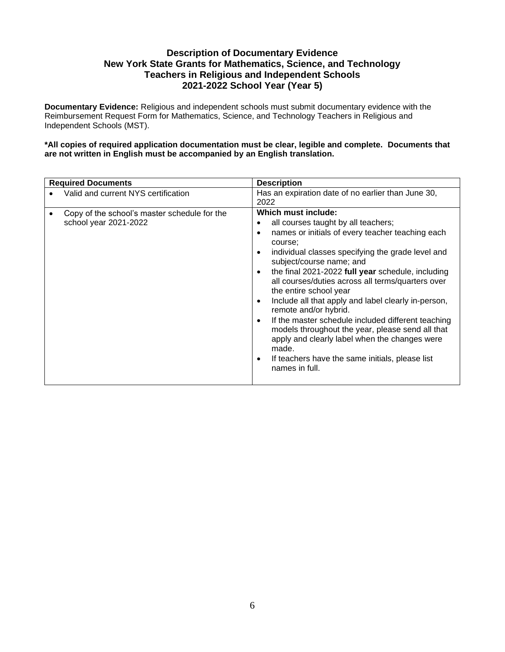# **Description of Documentary Evidence New York State Grants for Mathematics, Science, and Technology Teachers in Religious and Independent Schools 2021-2022 School Year (Year 5)**

**Documentary Evidence:** Religious and independent schools must submit documentary evidence with the Reimbursement Request Form for Mathematics, Science, and Technology Teachers in Religious and Independent Schools (MST).

**\*All copies of required application documentation must be clear, legible and complete. Documents that are not written in English must be accompanied by an English translation.**

| <b>Required Documents</b>                                             | <b>Description</b>                                                                                                                                                                                                                                                                                                                                                                                                                                                                                                                                                                                                                                                                                                                                 |  |  |
|-----------------------------------------------------------------------|----------------------------------------------------------------------------------------------------------------------------------------------------------------------------------------------------------------------------------------------------------------------------------------------------------------------------------------------------------------------------------------------------------------------------------------------------------------------------------------------------------------------------------------------------------------------------------------------------------------------------------------------------------------------------------------------------------------------------------------------------|--|--|
| Valid and current NYS certification                                   | Has an expiration date of no earlier than June 30,<br>2022                                                                                                                                                                                                                                                                                                                                                                                                                                                                                                                                                                                                                                                                                         |  |  |
| Copy of the school's master schedule for the<br>school year 2021-2022 | Which must include:<br>all courses taught by all teachers;<br>٠<br>names or initials of every teacher teaching each<br>$\bullet$<br>course;<br>individual classes specifying the grade level and<br>$\bullet$<br>subject/course name; and<br>the final 2021-2022 full year schedule, including<br>$\bullet$<br>all courses/duties across all terms/quarters over<br>the entire school year<br>Include all that apply and label clearly in-person,<br>$\bullet$<br>remote and/or hybrid.<br>If the master schedule included different teaching<br>$\bullet$<br>models throughout the year, please send all that<br>apply and clearly label when the changes were<br>made.<br>If teachers have the same initials, please list<br>٠<br>names in full. |  |  |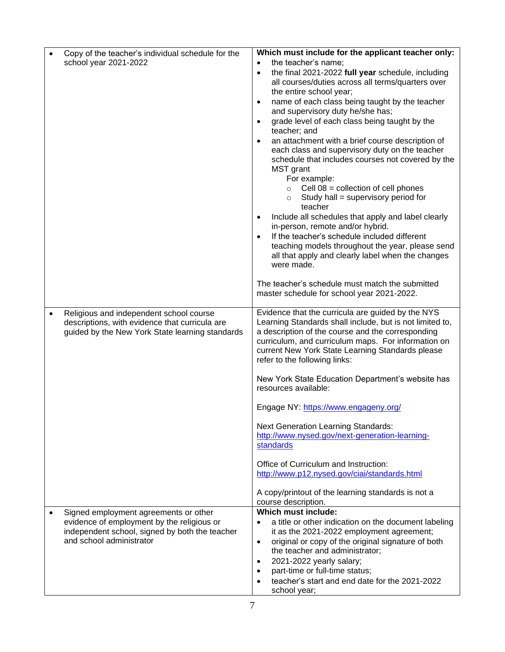|           | Copy of the teacher's individual schedule for the                                   | Which must include for the applicant teacher only:                                                                  |
|-----------|-------------------------------------------------------------------------------------|---------------------------------------------------------------------------------------------------------------------|
|           | school year 2021-2022                                                               | the teacher's name;<br>$\bullet$                                                                                    |
|           |                                                                                     | the final 2021-2022 full year schedule, including<br>$\bullet$<br>all courses/duties across all terms/quarters over |
|           |                                                                                     | the entire school year;                                                                                             |
|           |                                                                                     | name of each class being taught by the teacher<br>$\bullet$                                                         |
|           |                                                                                     | and supervisory duty he/she has;                                                                                    |
|           |                                                                                     | grade level of each class being taught by the<br>$\bullet$<br>teacher; and                                          |
|           |                                                                                     | an attachment with a brief course description of<br>$\bullet$                                                       |
|           |                                                                                     | each class and supervisory duty on the teacher                                                                      |
|           |                                                                                     | schedule that includes courses not covered by the                                                                   |
|           |                                                                                     | MST grant                                                                                                           |
|           |                                                                                     | For example:                                                                                                        |
|           |                                                                                     | Cell $08$ = collection of cell phones<br>$\circ$                                                                    |
|           |                                                                                     | Study hall = supervisory period for<br>$\circ$                                                                      |
|           |                                                                                     | teacher<br>Include all schedules that apply and label clearly<br>$\bullet$                                          |
|           |                                                                                     | in-person, remote and/or hybrid.                                                                                    |
|           |                                                                                     | If the teacher's schedule included different<br>$\bullet$                                                           |
|           |                                                                                     | teaching models throughout the year, please send                                                                    |
|           |                                                                                     | all that apply and clearly label when the changes                                                                   |
|           |                                                                                     | were made.                                                                                                          |
|           |                                                                                     | The teacher's schedule must match the submitted                                                                     |
|           |                                                                                     | master schedule for school year 2021-2022.                                                                          |
|           |                                                                                     |                                                                                                                     |
| $\bullet$ | Religious and independent school course                                             | Evidence that the curricula are guided by the NYS                                                                   |
|           | descriptions, with evidence that curricula are                                      | Learning Standards shall include, but is not limited to,                                                            |
|           | guided by the New York State learning standards                                     | a description of the course and the corresponding                                                                   |
|           |                                                                                     | curriculum, and curriculum maps. For information on                                                                 |
|           |                                                                                     | current New York State Learning Standards please<br>refer to the following links:                                   |
|           |                                                                                     |                                                                                                                     |
|           |                                                                                     | New York State Education Department's website has                                                                   |
|           |                                                                                     | resources available:                                                                                                |
|           |                                                                                     | Engage NY: https://www.engageny.org/                                                                                |
|           |                                                                                     | <b>Next Generation Learning Standards:</b>                                                                          |
|           |                                                                                     | http://www.nysed.gov/next-generation-learning-                                                                      |
|           |                                                                                     | standards                                                                                                           |
|           |                                                                                     | Office of Curriculum and Instruction:                                                                               |
|           |                                                                                     | http://www.p12.nysed.gov/ciai/standards.html                                                                        |
|           |                                                                                     |                                                                                                                     |
|           |                                                                                     | A copy/printout of the learning standards is not a                                                                  |
|           |                                                                                     | course description.<br>Which must include:                                                                          |
|           | Signed employment agreements or other<br>evidence of employment by the religious or | a title or other indication on the document labeling<br>$\bullet$                                                   |
|           | independent school, signed by both the teacher                                      | it as the 2021-2022 employment agreement;                                                                           |
|           | and school administrator                                                            | original or copy of the original signature of both<br>$\bullet$                                                     |
|           |                                                                                     | the teacher and administrator;                                                                                      |
|           |                                                                                     | 2021-2022 yearly salary;<br>$\bullet$                                                                               |
|           |                                                                                     | part-time or full-time status;<br>$\bullet$                                                                         |
|           |                                                                                     | teacher's start and end date for the 2021-2022                                                                      |
|           |                                                                                     | school year;                                                                                                        |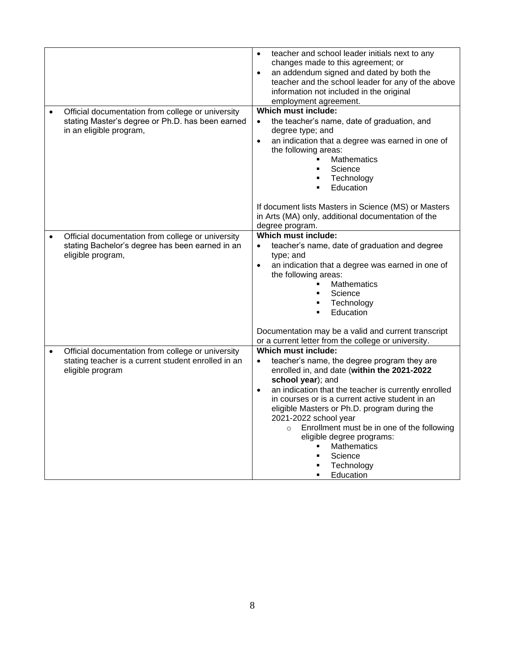|                                                                                                                                           | teacher and school leader initials next to any<br>$\bullet$<br>changes made to this agreement; or<br>an addendum signed and dated by both the<br>$\bullet$<br>teacher and the school leader for any of the above<br>information not included in the original<br>employment agreement.                                                                                                                                                                                                                   |
|-------------------------------------------------------------------------------------------------------------------------------------------|---------------------------------------------------------------------------------------------------------------------------------------------------------------------------------------------------------------------------------------------------------------------------------------------------------------------------------------------------------------------------------------------------------------------------------------------------------------------------------------------------------|
| Official documentation from college or university<br>stating Master's degree or Ph.D. has been earned<br>in an eligible program,          | Which must include:<br>the teacher's name, date of graduation, and<br>$\bullet$<br>degree type; and<br>an indication that a degree was earned in one of<br>$\bullet$<br>the following areas:<br><b>Mathematics</b><br>Science<br>٠<br>Technology<br>Education<br>٠                                                                                                                                                                                                                                      |
|                                                                                                                                           | If document lists Masters in Science (MS) or Masters<br>in Arts (MA) only, additional documentation of the<br>degree program.                                                                                                                                                                                                                                                                                                                                                                           |
| Official documentation from college or university<br>$\bullet$<br>stating Bachelor's degree has been earned in an<br>eligible program,    | Which must include:<br>teacher's name, date of graduation and degree<br>$\bullet$<br>type; and<br>an indication that a degree was earned in one of<br>$\bullet$<br>the following areas:<br><b>Mathematics</b><br>Science<br>Technology<br>Education                                                                                                                                                                                                                                                     |
|                                                                                                                                           | Documentation may be a valid and current transcript<br>or a current letter from the college or university.                                                                                                                                                                                                                                                                                                                                                                                              |
| Official documentation from college or university<br>$\bullet$<br>stating teacher is a current student enrolled in an<br>eligible program | Which must include:<br>teacher's name, the degree program they are<br>$\bullet$<br>enrolled in, and date (within the 2021-2022<br>school year); and<br>an indication that the teacher is currently enrolled<br>$\bullet$<br>in courses or is a current active student in an<br>eligible Masters or Ph.D. program during the<br>2021-2022 school year<br>Enrollment must be in one of the following<br>$\Omega$<br>eligible degree programs:<br><b>Mathematics</b><br>Science<br>Technology<br>Education |
|                                                                                                                                           |                                                                                                                                                                                                                                                                                                                                                                                                                                                                                                         |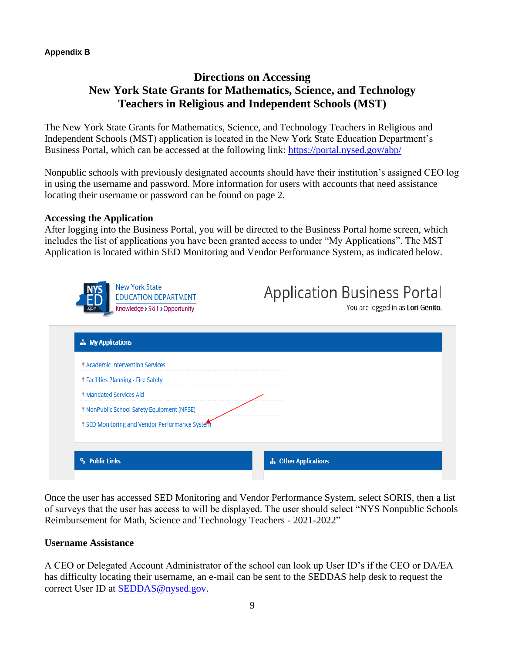## **Appendix B**

# **Directions on Accessing New York State Grants for Mathematics, Science, and Technology Teachers in Religious and Independent Schools (MST)**

The New York State Grants for Mathematics, Science, and Technology Teachers in Religious and Independent Schools (MST) application is located in the New York State Education Department's Business Portal, which can be accessed at the following link:<https://portal.nysed.gov/abp/>

Nonpublic schools with previously designated accounts should have their institution's assigned CEO log in using the username and password. More information for users with accounts that need assistance locating their username or password can be found on page 2.

## **Accessing the Application**

After logging into the Business Portal, you will be directed to the Business Portal home screen, which includes the list of applications you have been granted access to under "My Applications". The MST Application is located within SED Monitoring and Vendor Performance System, as indicated below.

| <b>A</b> My Applications                                                          |  |
|-----------------------------------------------------------------------------------|--|
|                                                                                   |  |
| <b>Academic Intervention Services</b><br><b>Facilities Planning - Fire Safety</b> |  |
| <sup>®</sup> Mandated Services Aid                                                |  |
| I NonPublic School Safety Equipment (NPSE)                                        |  |
| If SED Monitoring and Vendor Performance System                                   |  |
|                                                                                   |  |

Once the user has accessed SED Monitoring and Vendor Performance System, select SORIS, then a list of surveys that the user has access to will be displayed. The user should select "NYS Nonpublic Schools Reimbursement for Math, Science and Technology Teachers - 2021-2022"

# **Username Assistance**

A CEO or Delegated Account Administrator of the school can look up User ID's if the CEO or DA/EA has difficulty locating their username, an e-mail can be sent to the SEDDAS help desk to request the correct User ID at [SEDDAS@nysed.gov.](mailto:SEDDAS@nysed.gov)